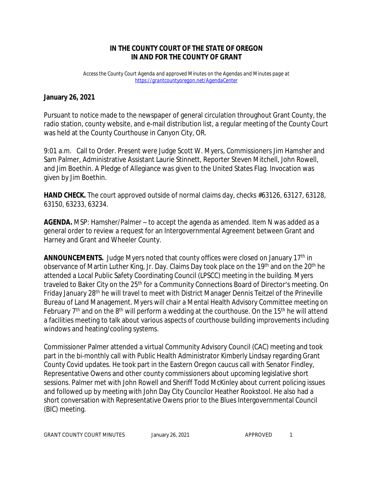## **IN THE COUNTY COURT OF THE STATE OF OREGON IN AND FOR THE COUNTY OF GRANT**

*Access the County Court Agenda and approved Minutes on the Agendas and Minutes page at <https://grantcountyoregon.net/AgendaCenter>*

## **January 26, 2021**

Pursuant to notice made to the newspaper of general circulation throughout Grant County, the radio station, county website, and e-mail distribution list, a regular meeting of the County Court was held at the County Courthouse in Canyon City, OR.

9:01 a.m. Call to Order. Present were Judge Scott W. Myers, Commissioners Jim Hamsher and Sam Palmer, Administrative Assistant Laurie Stinnett, Reporter Steven Mitchell, John Rowell, and Jim Boethin. A Pledge of Allegiance was given to the United States Flag. Invocation was given by Jim Boethin.

**HAND CHECK.** The court approved outside of normal claims day, checks #63126, 63127, 63128, 63150, 63233, 63234.

**AGENDA.** MSP: Hamsher/Palmer – to accept the agenda as amended. Item N was added as a general order to review a request for an Intergovernmental Agreement between Grant and Harney and Grant and Wheeler County.

**ANNOUNCEMENTS.** Judge Myers noted that county offices were closed on January 17<sup>th</sup> in observance of Martin Luther King, Jr. Day. Claims Day took place on the 19<sup>th</sup> and on the 20<sup>th</sup> he attended a Local Public Safety Coordinating Council (LPSCC) meeting in the building. Myers traveled to Baker City on the 25<sup>th</sup> for a Community Connections Board of Director's meeting. On Friday January 28<sup>th</sup> he will travel to meet with District Manager Dennis Teitzel of the Prineville Bureau of Land Management. Myers will chair a Mental Health Advisory Committee meeting on February  $7<sup>th</sup>$  and on the  $8<sup>th</sup>$  will perform a wedding at the courthouse. On the 15<sup>th</sup> he will attend a facilities meeting to talk about various aspects of courthouse building improvements including windows and heating/cooling systems.

Commissioner Palmer attended a virtual Community Advisory Council (CAC) meeting and took part in the bi-monthly call with Public Health Administrator Kimberly Lindsay regarding Grant County Covid updates. He took part in the Eastern Oregon caucus call with Senator Findley, Representative Owens and other county commissioners about upcoming legislative short sessions. Palmer met with John Rowell and Sheriff Todd McKinley about current policing issues and followed up by meeting with John Day City Councilor Heather Rookstool. He also had a short conversation with Representative Owens prior to the Blues Intergovernmental Council (BIC) meeting.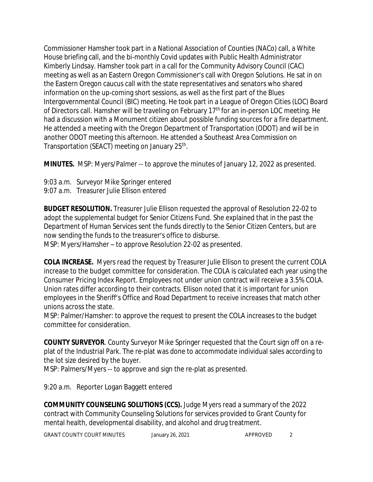Commissioner Hamsher took part in a National Association of Counties (NACo) call, a White House briefing call, and the bi-monthly Covid updates with Public Health Administrator Kimberly Lindsay. Hamsher took part in a call for the Community Advisory Council (CAC) meeting as well as an Eastern Oregon Commissioner's call with Oregon Solutions. He sat in on the Eastern Oregon caucus call with the state representatives and senators who shared information on the up-coming short sessions, as well as the first part of the Blues Intergovernmental Council (BIC) meeting. He took part in a League of Oregon Cities (LOC) Board of Directors call. Hamsher will be traveling on February 17<sup>th</sup> for an in-person LOC meeting. He had a discussion with a Monument citizen about possible funding sources for a fire department. He attended a meeting with the Oregon Department of Transportation (ODOT) and will be in another ODOT meeting this afternoon. He attended a Southeast Area Commission on Transportation (SEACT) meeting on January 25<sup>th</sup>.

**MINUTES.** MSP: Myers/Palmer -- to approve the minutes of January 12, 2022 as presented.

9:03 a.m. Surveyor Mike Springer entered 9:07 a.m. Treasurer Julie Ellison entered

**BUDGET RESOLUTION.** Treasurer Julie Ellison requested the approval of Resolution 22-02 to adopt the supplemental budget for Senior Citizens Fund. She explained that in the past the Department of Human Services sent the funds directly to the Senior Citizen Centers, but are now sending the funds to the treasurer's office to disburse. MSP: Myers/Hamsher – to approve Resolution 22-02 as presented.

**COLA INCREASE.** Myers read the request by Treasurer Julie Ellison to present the current COLA increase to the budget committee for consideration. The COLA is calculated each year using the Consumer Pricing Index Report. Employees not under union contract will receive a 3.5% COLA. Union rates differ according to their contracts. Ellison noted that it is important for union employees in the Sheriff's Office and Road Department to receive increases that match other unions across the state.

MSP: Palmer/Hamsher: to approve the request to present the COLA increases to the budget committee for consideration.

**COUNTY SURVEYOR**. County Surveyor Mike Springer requested that the Court sign off on a replat of the Industrial Park. The re-plat was done to accommodate individual sales according to the lot size desired by the buyer.

MSP: Palmers/Myers -- to approve and sign the re-plat as presented.

9:20 a.m. Reporter Logan Baggett entered

**COMMUNITY COUNSELING SOLUTIONS (CCS).** Judge Myers read a summary of the 2022 contract with Community Counseling Solutions for services provided to Grant County for mental health, developmental disability, and alcohol and drug treatment.

GRANT COUNTY COURT MINUTES January 26, 2021 APPROVED 2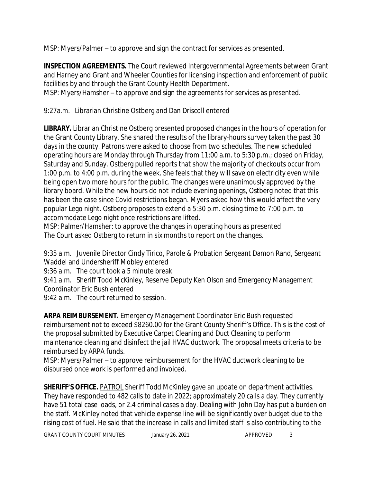MSP: Myers/Palmer – to approve and sign the contract for services as presented.

**INSPECTION AGREEMENTS.** The Court reviewed Intergovernmental Agreements between Grant and Harney and Grant and Wheeler Counties for licensing inspection and enforcement of public facilities by and through the Grant County Health Department.

MSP: Myers/Hamsher – to approve and sign the agreements for services as presented.

9:27a.m. Librarian Christine Ostberg and Dan Driscoll entered

**LIBRARY.** Librarian Christine Ostberg presented proposed changes in the hours of operation for the Grant County Library. She shared the results of the library-hours survey taken the past 30 days in the county. Patrons were asked to choose from two schedules. The new scheduled operating hours are Monday through Thursday from 11:00 a.m. to 5:30 p.m.; closed on Friday, Saturday and Sunday. Ostberg pulled reports that show the majority of checkouts occur from 1:00 p.m. to 4:00 p.m. during the week. She feels that they will save on electricity even while being open two more hours for the public. The changes were unanimously approved by the library board. While the new hours do not include evening openings, Ostberg noted that this has been the case since Covid restrictions began. Myers asked how this would affect the very popular Lego night. Ostberg proposes to extend a 5:30 p.m. closing time to 7:00 p.m. to accommodate Lego night once restrictions are lifted.

MSP: Palmer/Hamsher: to approve the changes in operating hours as presented. The Court asked Ostberg to return in six months to report on the changes.

9:35 a.m. Juvenile Director Cindy Tirico, Parole & Probation Sergeant Damon Rand, Sergeant Waddel and Undersheriff Mobley entered

9:36 a.m. The court took a 5 minute break.

9:41 a.m. Sheriff Todd McKinley, Reserve Deputy Ken Olson and Emergency Management Coordinator Eric Bush entered

9:42 a.m. The court returned to session.

**ARPA REIMBURSEMENT.** Emergency Management Coordinator Eric Bush requested reimbursement not to exceed \$8260.00 for the Grant County Sheriff's Office. This is the cost of the proposal submitted by Executive Carpet Cleaning and Duct Cleaning to perform maintenance cleaning and disinfect the jail HVAC ductwork. The proposal meets criteria to be reimbursed by ARPA funds.

MSP: Myers/Palmer – to approve reimbursement for the HVAC ductwork cleaning to be disbursed once work is performed and invoiced.

**SHERIFF'S OFFICE.** PATROL Sheriff Todd McKinley gave an update on department activities. They have responded to 482 calls to date in 2022; approximately 20 calls a day. They currently have 51 total case loads, or 2.4 criminal cases a day. Dealing with John Day has put a burden on the staff. McKinley noted that vehicle expense line will be significantly over budget due to the rising cost of fuel. He said that the increase in calls and limited staff is also contributing to the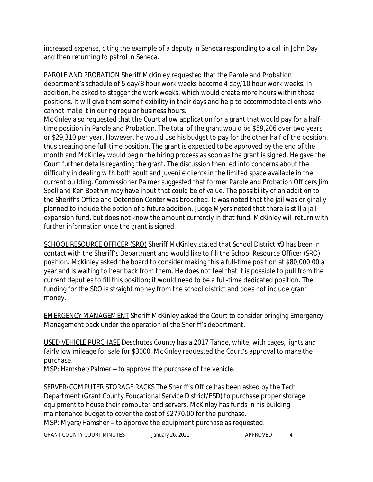increased expense, citing the example of a deputy in Seneca responding to a call in John Day and then returning to patrol in Seneca.

PAROLE AND PROBATION Sheriff McKinley requested that the Parole and Probation department's schedule of 5 day/8 hour work weeks become 4 day/10 hour work weeks. In addition, he asked to stagger the work weeks, which would create more hours within those positions. It will give them some flexibility in their days and help to accommodate clients who cannot make it in during regular business hours.

McKinley also requested that the Court allow application for a grant that would pay for a halftime position in Parole and Probation. The total of the grant would be \$59,206 over two years, or \$29,310 per year. However, he would use his budget to pay for the other half of the position, thus creating one full-time position. The grant is expected to be approved by the end of the month and McKinley would begin the hiring process as soon as the grant is signed. He gave the Court further details regarding the grant. The discussion then led into concerns about the difficulty in dealing with both adult and juvenile clients in the limited space available in the current building. Commissioner Palmer suggested that former Parole and Probation Officers Jim Spell and Ken Boethin may have input that could be of value. The possibility of an addition to the Sheriff's Office and Detention Center was broached. It was noted that the jail was originally planned to include the option of a future addition. Judge Myers noted that there is still a jail expansion fund, but does not know the amount currently in that fund. McKinley will return with further information once the grant is signed.

SCHOOL RESOURCE OFFICER (SRO) Sheriff McKinley stated that School District #3 has been in contact with the Sheriff's Department and would like to fill the School Resource Officer (SRO) position. McKinley asked the board to consider making this a full-time position at \$80,000.00 a year and is waiting to hear back from them. He does not feel that it is possible to pull from the current deputies to fill this position; it would need to be a full-time dedicated position. The funding for the SRO is straight money from the school district and does not include grant money.

EMERGENCY MANAGEMENT Sheriff McKinley asked the Court to consider bringing Emergency Management back under the operation of the Sheriff's department.

USED VEHICLE PURCHASE Deschutes County has a 2017 Tahoe, white, with cages, lights and fairly low mileage for sale for \$3000. McKinley requested the Court's approval to make the purchase.

MSP: Hamsher/Palmer – to approve the purchase of the vehicle.

SERVER/COMPUTER STORAGE RACKS The Sheriff's Office has been asked by the Tech Department (Grant County Educational Service District/ESD) to purchase proper storage equipment to house their computer and servers. McKinley has funds in his building maintenance budget to cover the cost of \$2770.00 for the purchase. MSP: Myers/Hamsher – to approve the equipment purchase as requested.

GRANT COUNTY COURT MINUTES January 26, 2021 4 APPROVED 4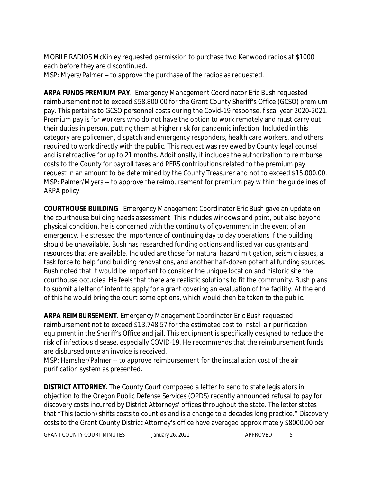MOBILE RADIOS McKinley requested permission to purchase two Kenwood radios at \$1000 each before they are discontinued.

MSP: Myers/Palmer – to approve the purchase of the radios as requested.

**ARPA FUNDS PREMIUM PAY**. Emergency Management Coordinator Eric Bush requested reimbursement not to exceed \$58,800.00 for the Grant County Sheriff's Office (GCSO) premium pay. This pertains to GCSO personnel costs during the Covid-19 response, fiscal year 2020-2021. Premium pay is for workers who do not have the option to work remotely and must carry out their duties in person, putting them at higher risk for pandemic infection. Included in this category are policemen, dispatch and emergency responders, health care workers, and others required to work directly with the public. This request was reviewed by County legal counsel and is retroactive for up to 21 months. Additionally, it includes the authorization to reimburse costs to the County for payroll taxes and PERS contributions related to the premium pay request in an amount to be determined by the County Treasurer and not to exceed \$15,000.00. MSP: Palmer/Myers -- to approve the reimbursement for premium pay within the guidelines of ARPA policy.

**COURTHOUSE BUILDING**. Emergency Management Coordinator Eric Bush gave an update on the courthouse building needs assessment. This includes windows and paint, but also beyond physical condition, he is concerned with the continuity of government in the event of an emergency. He stressed the importance of continuing day to day operations if the building should be unavailable. Bush has researched funding options and listed various grants and resources that are available. Included are those for natural hazard mitigation, seismic issues, a task force to help fund building renovations, and another half-dozen potential funding sources. Bush noted that it would be important to consider the unique location and historic site the courthouse occupies. He feels that there are realistic solutions to fit the community. Bush plans to submit a letter of intent to apply for a grant covering an evaluation of the facility. At the end of this he would bring the court some options, which would then be taken to the public.

**ARPA REIMBURSEMENT.** Emergency Management Coordinator Eric Bush requested reimbursement not to exceed \$13,748.57 for the estimated cost to install air purification equipment in the Sheriff's Office and jail. This equipment is specifically designed to reduce the risk of infectious disease, especially COVID-19. He recommends that the reimbursement funds are disbursed once an invoice is received.

MSP: Hamsher/Palmer -- to approve reimbursement for the installation cost of the air purification system as presented.

**DISTRICT ATTORNEY.** The County Court composed a letter to send to state legislators in objection to the Oregon Public Defense Services (OPDS) recently announced refusal to pay for discovery costs incurred by District Attorneys' offices throughout the state. The letter states that "This (action) shifts costs to counties and is a change to a decades long practice." Discovery costs to the Grant County District Attorney's office have averaged approximately \$8000.00 per